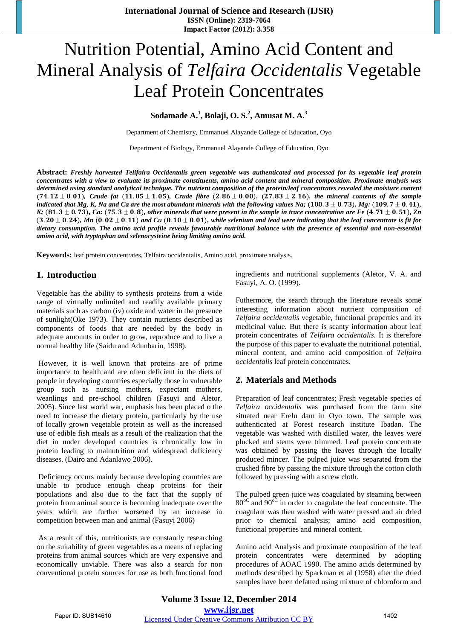# Nutrition Potential, Amino Acid Content and Mineral Analysis of *Telfaira Occidentalis* Vegetable Leaf Protein Concentrates

# **Sodamade A.<sup>1</sup> , Bolaji, O. S.2 , Amusat M. A.<sup>3</sup>**

Department of Chemistry, Emmanuel Alayande College of Education, Oyo

Department of Biology, Emmanuel Alayande College of Education, Oyo

**Abstract:** *Freshly harvested Telifaira Occidentalis green vegetable was authenticated and processed for its vegetable leaf protein* concentrates with a view to evaluate its proximate constituents, amino acid content and mineral composition. Proximate analysis was determined using standard analytical technique. The nutrient composition of the protein/leaf concentrates revealed the moisture content  $(74.12 \pm 0.01)$ , Crude fat  $(11.05 \pm 1.05)$ , Crude fibre  $(2.86 \pm 0.00)$ ,  $(27.83 \pm 2.16)$ , the mineral contents of the sample *indicated that Mg, K, Na and Ca are the most abundant minerals with the following values Na;* (100.3  $\pm$  0.73), *Mg:* (109.7  $\pm$  0.41), K; (81.3  $\pm$  0.73), Ca: (75.3  $\pm$  0.8), other minerals that were present in the sample in trace concentration are Fe (4.71  $\pm$  0.51), Zn  $(3.20 \pm 0.24)$ , Mn  $(0.02 \pm 0.11)$  and Cu  $(0.10 \pm 0.01)$ , while selenium and lead were indicating that the leaf concentrate is fit for dietary consumption. The amino acid profile reveals favourable nutritional balance with the presence of essential and non-essential *amino acid, with tryptophan and selenocysteine being limiting amino acid.*

**Keywords:** leaf protein concentrates, Telfaira occidentalis, Amino acid, proximate analysis.

#### **1. Introduction**

Vegetable has the ability to synthesis proteins from a wide range of virtually unlimited and readily available primary materials such as carbon (iv) oxide and water in the presence of sunlight(Oke 1973). They contain nutrients described as components of foods that are needed by the body in adequate amounts in order to grow, reproduce and to live a normal healthy life (Saidu and Adunbarin, 1998).

However, it is well known that proteins are of prime importance to health and are often deficient in the diets of people in developing countries especially those in vulnerable group such as nursing mother**s,** expectant mothers, weanlings and pre-school children (Fasuyi and Aletor, 2005). Since last world war, emphasis has been placed o the need to increase the dietary protein, particularly by the use of locally grown vegetable protein as well as the increased use of edible fish meals as a result of the realization that the diet in under developed countries is chronically low in protein leading to malnutrition and widespread deficiency diseases. (Dairo and Adanlawo 2006).

Deficiency occurs mainly because developing countries are unable to produce enough cheap proteins for their populations and also due to the fact that the supply of protein from animal source is becoming inadequate over the years which are further worsened by an increase in competition between man and animal (Fasuyi 2006)

As a result of this, nutritionists are constantly researching on the suitability of green vegetables as a means of replacing proteins from animal sources which are very expensive and economically unviable. There was also a search for non conventional protein sources for use as both functional food ingredients and nutritional supplements (Aletor, V. A. and Fasuyi, A. O. (1999).

Futhermore, the search through the literature reveals some interesting information about nutrient composition of *Telfaira occidentalis* vegetable, functional properties and its medicinal value. But there is scanty information about leaf protein concentrates of *Telfaira occidentalis*. It is therefore the purpose of this paper to evaluate the nutritional potential, mineral content, and amino acid composition of *Telfaira occidentalis* leaf protein concentrates.

## **2. Materials and Methods**

Preparation of leaf concentrates; Fresh vegetable species of *Telfaira occidentalis* was purchased from the farm site situated near Erelu dam in Oyo town. The sample was authenticated at Forest research institute Ibadan. The vegetable was washed with distilled water, the leaves were plucked and stems were trimmed. Leaf protein concentrate was obtained by passing the leaves through the locally produced mincer. The pulped juice was separated from the crushed fibre by passing the mixture through the cotton cloth followed by pressing with a screw cloth.

The pulped green juice was coagulated by steaming between  $80^{\circ}$  and  $90^{\circ}$  in order to coagulate the leaf concentrate. The coagulant was then washed with water pressed and air dried prior to chemical analysis; amino acid composition, functional properties and mineral content.

Amino acid Analysis and proximate composition of the leaf protein concentrates were determined by adopting procedures of AOAC 1990. The amino acids determined by methods described by Sparkman et al (1958) after the dried samples have been defatted using mixture of chloroform and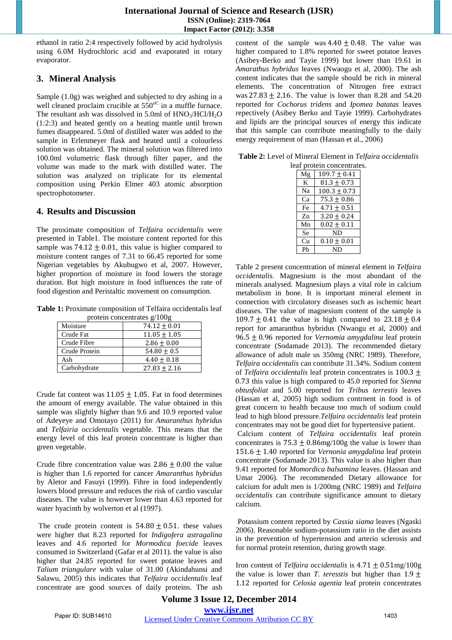ethanol in ratio 2:4 respectively followed by acid hydrolysis using 6.0M Hydrochloric acid and evaporated in rotary evaporator.

## **3. Mineral Analysis**

Sample (1.0g) was weighed and subjected to dry ashing in a well cleaned proclaim crucible at  $550^{\circ}$  in a muffle furnace. The resultant ash was dissolved in 5.0ml of  $HNO<sub>3</sub>/HCl/H<sub>2</sub>O$ (1:2:3) and heated gently on a heating mantle until brown fumes disappeared. 5.0ml of distilled water was added to the sample in Erlenmeyer flask and heated until a colourless solution was obtained. The mineral solution was filtered into 100.0ml volumetric flask through filter paper, and the volume was made to the mark with distilled water. The solution was analyzed on triplicate for its elemental composition using Perkin Elmer 403 atomic absorption spectrophotometer.

### **4. Results and Discussion**

The proximate composition of *Telfaira occidentalis* were presented in Table1. The moisture content reported for this sample was  $74.12 \pm 0.01$ , this value is higher compared to moisture content ranges of 7.31 to 66.45 reported for some Nigerian vegetables by Akubugwo et al, 2007. However, higher proportion of moisture in food lowers the storage duration. But high moisture in food influences the rate of food digestion and Peristaltic movement on consumption.

**Table 1:** Proximate composition of Telfaira occidentalis leaf protein concentrates g/100g

| Moisture      | $74.12 \pm 0.01$ |
|---------------|------------------|
| Crude Fat     | $11.05 \pm 1.05$ |
| Crude Fibre   | $2.86 + 0.00$    |
| Crude Protein | $54.80 \pm 0.5$  |
| Ash           | $4.40 \pm 0.18$  |
| Carbohydrate  | $27.83 \pm 2.16$ |

Crude fat content was  $11.05 \pm 1.05$ . Fat in food determines the amount of energy available. The value obtained in this sample was slightly higher than 9.6 and 10.9 reported value of Adeyeye and Omotayo (2011) for *Amaranthus hybridus* and *Telfairia occidentalis* vegetable. This means that the energy level of this leaf protein concentrate is higher than green vegetable.

Crude fibre concentration value was  $2.86 \pm 0.00$  the value is higher than 1.6 reported for cancer *Amaranthus hybridus* by Aletor and Fasuyi (1999). Fibre in food independently lowers blood pressure and reduces the risk of cardio vascular diseases. The value is however lower than 4.63 reported for water hyacinth by wolverton et al (1997).

The crude protein content is  $54.80 \pm 0.51$ . these values were higher that 8.23 reported for *Indigofera astragalina* leaves and 4.6 reported for *Mormodica foecide* leaves consumed in Switzerland (Gafar et al 2011). the value is also higher that 24.85 reported for sweet potatoe leaves and *Talium triangulare* with value of 31.00 (Akindahunsi and Salawu, 2005) this indicates that *Telfaira occidentalis* leaf concentrate are good sources of daily proteins. The ash content of the sample was  $4.40 \pm 0.48$ . The value was higher compared to 1.8% reported for sweet potatoe leaves (Asibey-Berko and Tayie 1999) but lower than 19.61 in *Amarathus hybridus* leaves (Nwaogu et al, 2000). The ash content indicates that the sample should be rich in mineral elements. The concentration of Nitrogen free extract was  $27.83 \pm 2.16$ . The value is lower than 8.28 and 54.20 reported for *Cochorus tridens* and *Ipomea batatas* leaves repectively (Asibey Berko and Tayie 1999). Carbohydrates and lipids are the principal sources of energy this indicate that this sample can contribute meaningfully to the daily energy requirement of man (Hassan et al., 2006)

| Table 2: Level of Mineral Element in Telfaira occidentalis |  |  |
|------------------------------------------------------------|--|--|
|------------------------------------------------------------|--|--|

| leaf protein concentrates. |                |                  |  |
|----------------------------|----------------|------------------|--|
|                            | Mg             | $109.7 \pm 0.41$ |  |
|                            | K              | $81.3 \pm 0.73$  |  |
|                            | Na             | $100.3 \pm 0.73$ |  |
|                            | Ca             | $75.3 \pm 0.86$  |  |
|                            | Fe             | $4.71 \pm 0.51$  |  |
|                            | Zn             | $3.20 \pm 0.24$  |  |
|                            | Mn             | $0.02 \pm 0.11$  |  |
|                            | <b>Se</b>      | ND               |  |
|                            | Cu             | $0.10 \pm 0.01$  |  |
|                            | P <sub>b</sub> | ND               |  |
|                            |                |                  |  |

Table 2 present concentration of mineral element in *Telfaira occidentalis*. Magnesium is the most abundant of the minerals analysed. Magnesium plays a vital role in calcium metabolism in bone. It is important mineral element in connection with circulatory diseases such as ischemic heart diseases. The value of magnesium content of the sample is 109.7  $\pm$  0.41 the value is high compared to 23.18  $\pm$  0.4 report for amaranthus hybridus (Nwaogu et al, 2000) and 96.5 ± 0.96 reported for *Vernomia amygdalina* leaf protein concentrate (Sodamade 2013). The recommended dietary allowance of adult male us 350mg (NRC 1989). Therefore, *Telfaira occidentalis* can contribute 31.34%. Sodium content of *Telfaira occidentalis* leaf protein concentrates is 100.3 ± 0.73 this value is high compared to 45.0 reported for *Sienna obtusfoliat* and 5.00 reported for *Tribus terrestis* leaves (Hassan et al, 2005) high sodium contrnent in food is of great concern to health because too much of sodium could lead to high blood pressure.*Telfaira occidentalis* leaf protein concentrates may not be good diet for hypertensive patient. Calcium content of *Telfaira occidentalis* leaf protein

concentrates is  $75.3 \pm 0.86$  mg/100g the value is lower than 151.6 ± 1.40 reported for *Vernonia amygdalina* leaf protein concentrate (Sodamade 2013). This value is also higher than 9.41 reported for *Momordica balsamina* leaves. (Hassan and Umar 2006). The recommended Dietary allowance for calcium for adult men is 1/200mg (NRC 1989) and *Telfaira occidentalis* can contribute significance amount to dietary calcium.

Potassium content reported by *Cassia siama* leaves (Ngaski 2006). Reasonable sodium-potassium ratio in the diet assists in the prevention of hypertension and arterio sclerosis and for normal protein retention, during growth stage.

Iron content of *Telfaira occidentalis* is 4.71 ± 0.51mg/100g the value is lower than *T. teresstis* but higher than  $1.9 \pm$ 1.12 reported for *Celosia agentia* leaf protein concentrates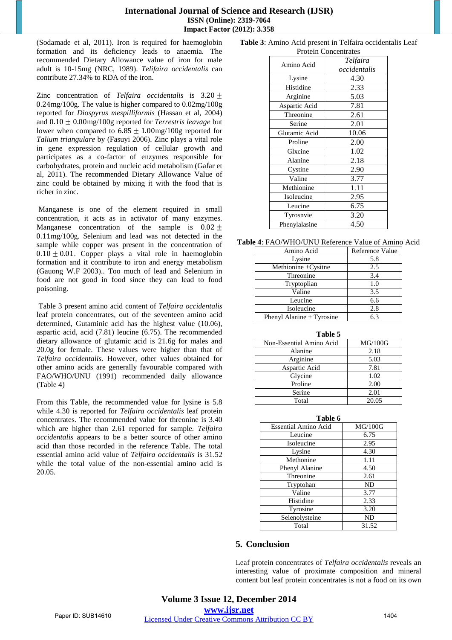#### **International Journal of Science and Research (IJSR) ISSN (Online): 2319-7064 Impact Factor (2012): 3.358**

(Sodamade et al, 2011). Iron is required for haemoglobin formation and its deficiency leads to anaemia. The recommended Dietary Allowance value of iron for male adult is 10-15mg (NRC, 1989). *Telifaira occidentalis* can contribute 27.34% to RDA of the iron.

Zinc concentration of *Telfaira occidentalis* is 3.20 ± 0.24mg/100g. The value is higher compared to 0.02mg/100g reported for *Diospyrus mespilliformis* (Hassan et al, 2004) and 0.10 ± 0.00mg/100g reported for *Terrestris leavage* but lower when compared to  $6.85 \pm 1.00$  mg/100g reported for *Talium triangulare* by (Fasuyi 2006). Zinc plays a vital role in gene expression regulation of cellular growth and participates as a co-factor of enzymes responsible for carbohydrates, protein and nucleic acid metabolism (Gafar et al, 2011). The recommended Dietary Allowance Value of zinc could be obtained by mixing it with the food that is richer in zinc.

Manganese is one of the element required in small concentration, it acts as in activator of many enzymes. Manganese concentration of the sample is  $0.02 \pm$ 0.11mg/100g. Selenium and lead was not detected in the sample while copper was present in the concentration of  $0.10 \pm 0.01$ . Copper plays a vital role in haemoglobin formation and it contribute to iron and energy metabolism (Gauong W.F 2003).. Too much of lead and Selenium in food are not good in food since they can lead to food poisoning.

Table 3 present amino acid content of *Telfaira occidentalis* leaf protein concentrates, out of the seventeen amino acid determined, Gutaminic acid has the highest value (10.06), aspartic acid, acid (7.81) leucine (6.75). The recommended dietary allowance of glutamic acid is 21.6g for males and 20.0g for female. These values were higher than that of *Telfaira occidentalis*. However, other values obtained for other amino acids are generally favourable compared with FAO/WHO/UNU (1991) recommended daily allowance (Table 4)

From this Table, the recommended value for lysine is 5.8 while 4.30 is reported for *Telfaira occidentalis* leaf protein concentrates. The recommended value for threonine is 3.40 which are higher than 2.61 reported for sample*. Telfaira occidentalis* appears to be a better source of other amino acid than those recorded in the reference Table. The total essential amino acid value of *Telfaira occidentalis* is 31.52 while the total value of the non-essential amino acid is 20.05.

#### **Table 3**: Amino Acid present in Telfaira occidentalis Leaf Protein Concentrates

| Amino Acid    | Telfaira<br>occidentalis |
|---------------|--------------------------|
| Lysine        | 4.30                     |
| Histidine     | 2.33                     |
| Arginine      | 5.03                     |
| Aspartic Acid | 7.81                     |
| Threonine     | 2.61                     |
| Serine        | 2.01                     |
| Glutamic Acid | 10.06                    |
| Proline       | 2.00                     |
| Glxcine       | 1.02                     |
| Alanine       | 2.18                     |
| Cystine       | 2.90                     |
| Valine        | 3.77                     |
| Methionine    | 1.11                     |
| Isoleucine    | 2.95                     |
| Leucine       | 6.75                     |
| Tyrosnvie     | 3.20                     |
| Phenylalasine | 4.50                     |

**Table 4**: FAO/WHO/UNU Reference Value of Amino Acid

| Amino Acid                | Reference Value |
|---------------------------|-----------------|
| Lysine                    | 5.8             |
| Methionine +Cysitne       | 2.5             |
| Threonine                 | 3.4             |
| Tryptoplian               | 1.0             |
| Valine                    | 3.5             |
| Leucine                   | 6.6             |
| Isoleucine                | 2.8             |
| Phenyl Alanine + Tyrosine | 6.3             |

| Table 5                  |         |  |  |
|--------------------------|---------|--|--|
| Non-Essential Amino Acid | MG/100G |  |  |
| Alanine                  | 2.18    |  |  |
| Arginine                 | 5.03    |  |  |
| Aspartic Acid            | 7.81    |  |  |
| Glycine                  | 1.02    |  |  |
| Proline                  | 2.00    |  |  |
| Serine                   | 2.01    |  |  |
| Total                    | 20.05   |  |  |

| Table 6                     |           |  |  |
|-----------------------------|-----------|--|--|
| <b>Essential Amino Acid</b> | MG/100G   |  |  |
| Leucine                     | 6.75      |  |  |
| Isoleucine                  | 2.95      |  |  |
| Lysine                      | 4.30      |  |  |
| Methonine                   | 1.11      |  |  |
| Phenyl Alanine              | 4.50      |  |  |
| Threonine                   | 2.61      |  |  |
| Tryptohan                   | <b>ND</b> |  |  |
| Valine                      | 3.77      |  |  |
| Histidine                   | 2.33      |  |  |
| Tyrosine                    | 3.20      |  |  |
| Selenolysteine              | ND        |  |  |
| Total                       | 31.52     |  |  |

# **5. Conclusion**

Leaf protein concentrates of *Telfaira occidentalis* reveals an interesting value of proximate composition and mineral content but leaf protein concentrates is not a food on its own